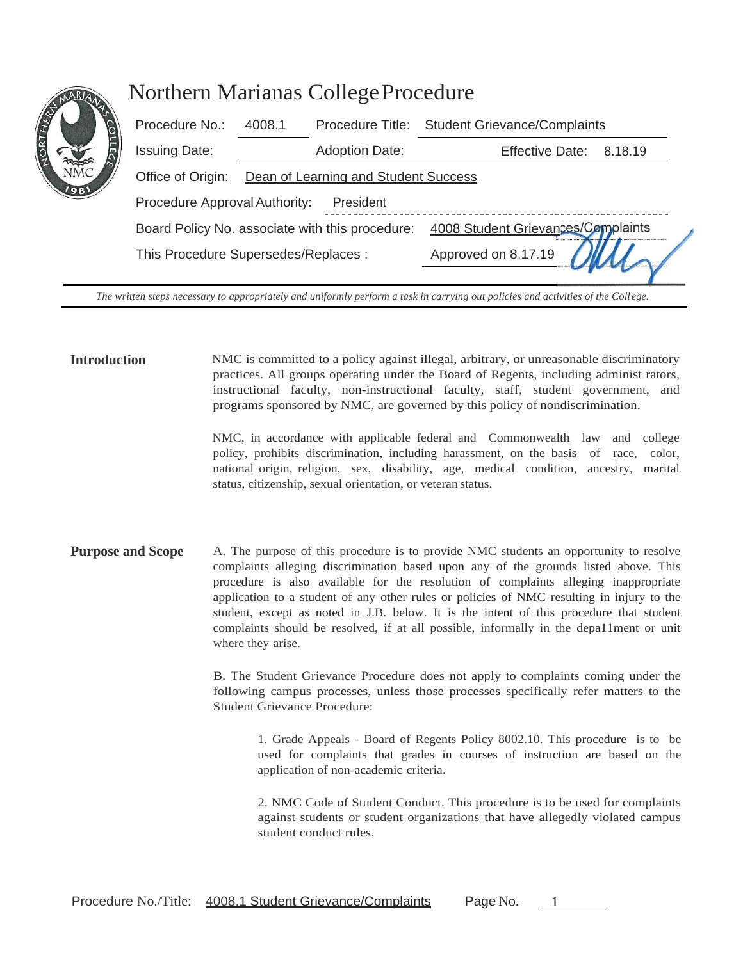| <b>IVAT</b>     | <b>Northern Marianas College Procedure</b>      |                                      |                       |                                               |         |
|-----------------|-------------------------------------------------|--------------------------------------|-----------------------|-----------------------------------------------|---------|
|                 | Procedure No.:                                  | 4008.1                               |                       | Procedure Title: Student Grievance/Complaints |         |
| m               | <b>Issuing Date:</b>                            |                                      | <b>Adoption Date:</b> | <b>Effective Date:</b>                        | 8.18.19 |
| NM <sub>®</sub> | Office of Origin:                               | Dean of Learning and Student Success |                       |                                               |         |
| 1981            | Procedure Approval Authority:<br>President      |                                      |                       |                                               |         |
|                 | Board Policy No. associate with this procedure: |                                      |                       | 4008 Student Grievances/Complaints            |         |
|                 | This Procedure Supersedes/Replaces :            |                                      |                       | Approved on 8.17.19                           |         |
|                 |                                                 |                                      |                       |                                               |         |

NORTHER

*The written steps necessary to appropriately and uniformly perform a task in carrying out policies and activities of the College.*

**Introduction** NMC is committed to a policy against illegal, arbitrary, or unreasonable discriminatory practices. All groups operating under the Board of Regents, including administ rators, instructional faculty, non-instructional faculty, staff, student government, and programs sponsored by NMC, are governed by this policy of nondiscrimination.

> NMC, in accordance with applicable federal and Commonwealth law and college policy, prohibits discrimination, including harassment, on the basis of race, color, national origin, religion, sex, disability, age, medical condition, ancestry, marital status, citizenship, sexual orientation, or veteran status.

**Purpose and Scope** A. The purpose of this procedure is to provide NMC students an opportunity to resolve complaints alleging discrimination based upon any of the grounds listed above. This procedure is also available for the resolution of complaints alleging inappropriate application to a student of any other rules or policies of NMC resulting in injury to the student, except as noted in J.B. below. It is the intent of this procedure that student complaints should be resolved, if at all possible, informally in the depa11ment or unit where they arise.

> B. The Student Grievance Procedure does not apply to complaints coming under the following campus processes, unless those processes specifically refer matters to the Student Grievance Procedure:

1. Grade Appeals - Board of Regents Policy 8002.10. This procedure is to be used for complaints that grades in courses of instruction are based on the application of non-academic criteria.

2. NMC Code of Student Conduct. This procedure is to be used for complaints against students or student organizations that have allegedly violated campus student conduct rules.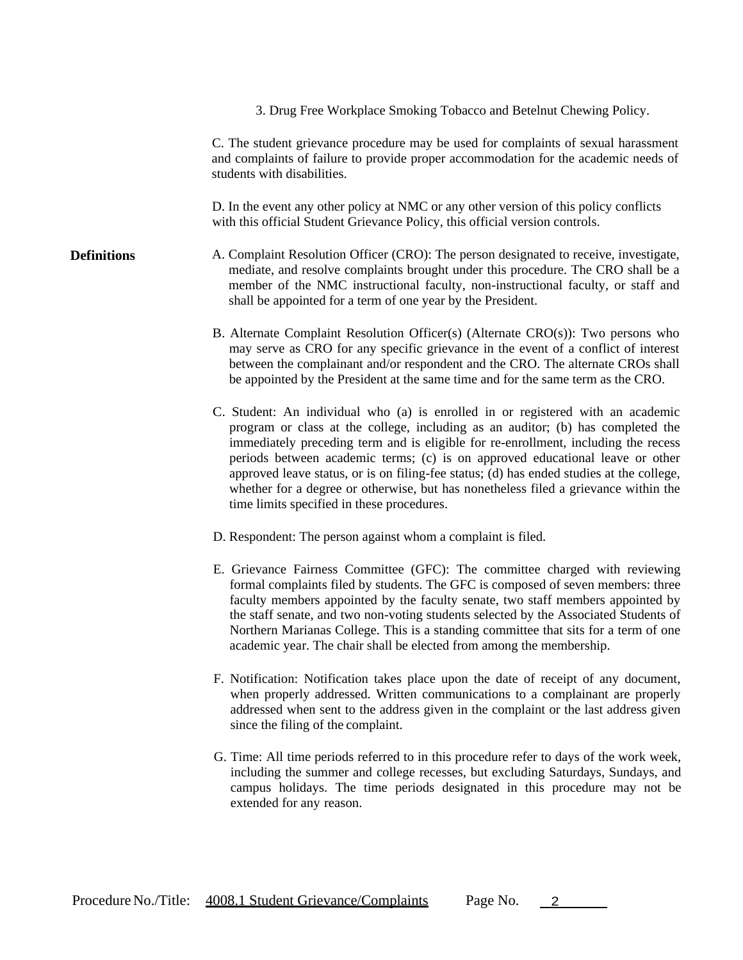3. Drug Free Workplace Smoking Tobacco and Betelnut Chewing Policy.

C. The student grievance procedure may be used for complaints of sexual harassment and complaints of failure to provide proper accommodation for the academic needs of students with disabilities.

D. In the event any other policy at NMC or any other version of this policy conflicts with this official Student Grievance Policy, this official version controls.

- A. Complaint Resolution Officer (CRO): The person designated to receive, investigate, mediate, and resolve complaints brought under this procedure. The CRO shall be a member of the NMC instructional faculty, non-instructional faculty, or staff and shall be appointed for a term of one year by the President. **Definitions**
	- B. Alternate Complaint Resolution Officer(s) (Alternate CRO(s)): Two persons who may serve as CRO for any specific grievance in the event of a conflict of interest between the complainant and/or respondent and the CRO. The alternate CROs shall be appointed by the President at the same time and for the same term as the CRO.
	- C. Student: An individual who (a) is enrolled in or registered with an academic program or class at the college, including as an auditor; (b) has completed the immediately preceding term and is eligible for re-enrollment, including the recess periods between academic terms; (c) is on approved educational leave or other approved leave status, or is on filing-fee status; (d) has ended studies at the college, whether for a degree or otherwise, but has nonetheless filed a grievance within the time limits specified in these procedures.
	- D. Respondent: The person against whom a complaint is filed.
	- E. Grievance Fairness Committee (GFC): The committee charged with reviewing formal complaints filed by students. The GFC is composed of seven members: three faculty members appointed by the faculty senate, two staff members appointed by the staff senate, and two non-voting students selected by the Associated Students of Northern Marianas College. This is a standing committee that sits for a term of one academic year. The chair shall be elected from among the membership.
	- F. Notification: Notification takes place upon the date of receipt of any document, when properly addressed. Written communications to a complainant are properly addressed when sent to the address given in the complaint or the last address given since the filing of the complaint.
	- G. Time: All time periods referred to in this procedure refer to days of the work week, including the summer and college recesses, but excluding Saturdays, Sundays, and campus holidays. The time periods designated in this procedure may not be extended for any reason.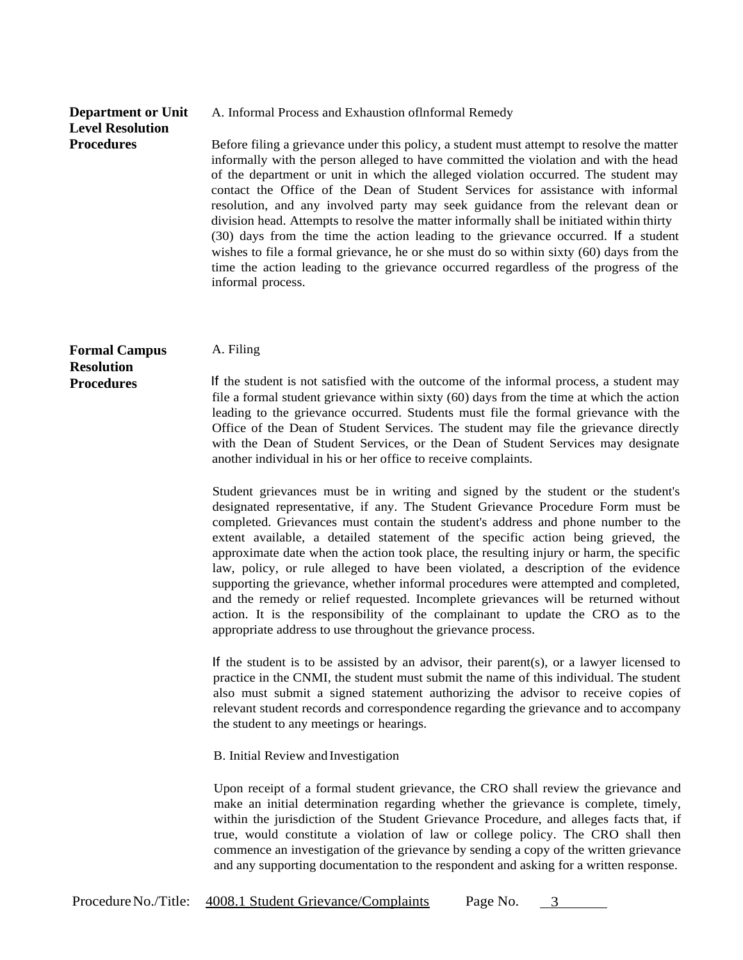## **Department or Unit Level Resolution Procedures**

A. Informal Process and Exhaustion oflnformal Remedy

Before filing a grievance under this policy, a student must attempt to resolve the matter informally with the person alleged to have committed the violation and with the head of the department or unit in which the alleged violation occurred. The student may contact the Office of the Dean of Student Services for assistance with informal resolution, and any involved party may seek guidance from the relevant dean or division head. Attempts to resolve the matter informally shall be initiated within thirty (30) days from the time the action leading to the grievance occurred. If a student wishes to file a formal grievance, he or she must do so within sixty (60) days from the time the action leading to the grievance occurred regardless of the progress of the informal process.

## **Formal Campus A. Filing Resolution**

**Procedures** If the student is not satisfied with the outcome of the informal process, a student may file a formal student grievance within sixty (60) days from the time at which the action leading to the grievance occurred. Students must file the formal grievance with the Office of the Dean of Student Services. The student may file the grievance directly with the Dean of Student Services, or the Dean of Student Services may designate another individual in his or her office to receive complaints.

> Student grievances must be in writing and signed by the student or the student's designated representative, if any. The Student Grievance Procedure Form must be completed. Grievances must contain the student's address and phone number to the extent available, a detailed statement of the specific action being grieved, the approximate date when the action took place, the resulting injury or harm, the specific law, policy, or rule alleged to have been violated, a description of the evidence supporting the grievance, whether informal procedures were attempted and completed, and the remedy or relief requested. Incomplete grievances will be returned without action. It is the responsibility of the complainant to update the CRO as to the appropriate address to use throughout the grievance process.

> If the student is to be assisted by an advisor, their parent(s), or a lawyer licensed to practice in the CNMI, the student must submit the name of this individual. The student also must submit a signed statement authorizing the advisor to receive copies of relevant student records and correspondence regarding the grievance and to accompany the student to any meetings or hearings.

B. Initial Review and Investigation

Upon receipt of a formal student grievance, the CRO shall review the grievance and make an initial determination regarding whether the grievance is complete, timely, within the jurisdiction of the Student Grievance Procedure, and alleges facts that, if true, would constitute a violation of law or college policy. The CRO shall then commence an investigation of the grievance by sending a copy of the written grievance and any supporting documentation to the respondent and asking for a written response.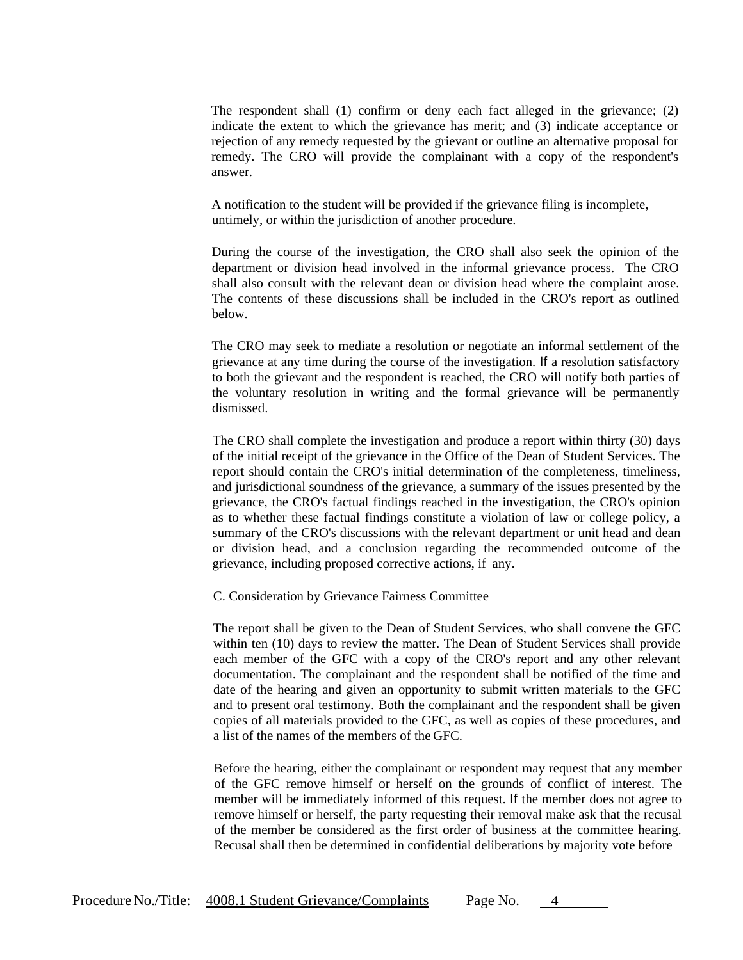The respondent shall (1) confirm or deny each fact alleged in the grievance; (2) indicate the extent to which the grievance has merit; and (3) indicate acceptance or rejection of any remedy requested by the grievant or outline an alternative proposal for remedy. The CRO will provide the complainant with a copy of the respondent's answer.

A notification to the student will be provided if the grievance filing is incomplete, untimely, or within the jurisdiction of another procedure.

During the course of the investigation, the CRO shall also seek the opinion of the department or division head involved in the informal grievance process. The CRO shall also consult with the relevant dean or division head where the complaint arose. The contents of these discussions shall be included in the CRO's report as outlined below.

The CRO may seek to mediate a resolution or negotiate an informal settlement of the grievance at any time during the course of the investigation. If a resolution satisfactory to both the grievant and the respondent is reached, the CRO will notify both parties of the voluntary resolution in writing and the formal grievance will be permanently dismissed.

The CRO shall complete the investigation and produce a report within thirty (30) days of the initial receipt of the grievance in the Office of the Dean of Student Services. The report should contain the CRO's initial determination of the completeness, timeliness, and jurisdictional soundness of the grievance, a summary of the issues presented by the grievance, the CRO's factual findings reached in the investigation, the CRO's opinion as to whether these factual findings constitute a violation of law or college policy, a summary of the CRO's discussions with the relevant department or unit head and dean or division head, and a conclusion regarding the recommended outcome of the grievance, including proposed corrective actions, if any.

C. Consideration by Grievance Fairness Committee

The report shall be given to the Dean of Student Services, who shall convene the GFC within ten (10) days to review the matter. The Dean of Student Services shall provide each member of the GFC with a copy of the CRO's report and any other relevant documentation. The complainant and the respondent shall be notified of the time and date of the hearing and given an opportunity to submit written materials to the GFC and to present oral testimony. Both the complainant and the respondent shall be given copies of all materials provided to the GFC, as well as copies of these procedures, and a list of the names of the members of the GFC.

Before the hearing, either the complainant or respondent may request that any member of the GFC remove himself or herself on the grounds of conflict of interest. The member will be immediately informed of this request. If the member does not agree to remove himself or herself, the party requesting their removal make ask that the recusal of the member be considered as the first order of business at the committee hearing. Recusal shall then be determined in confidential deliberations by majority vote before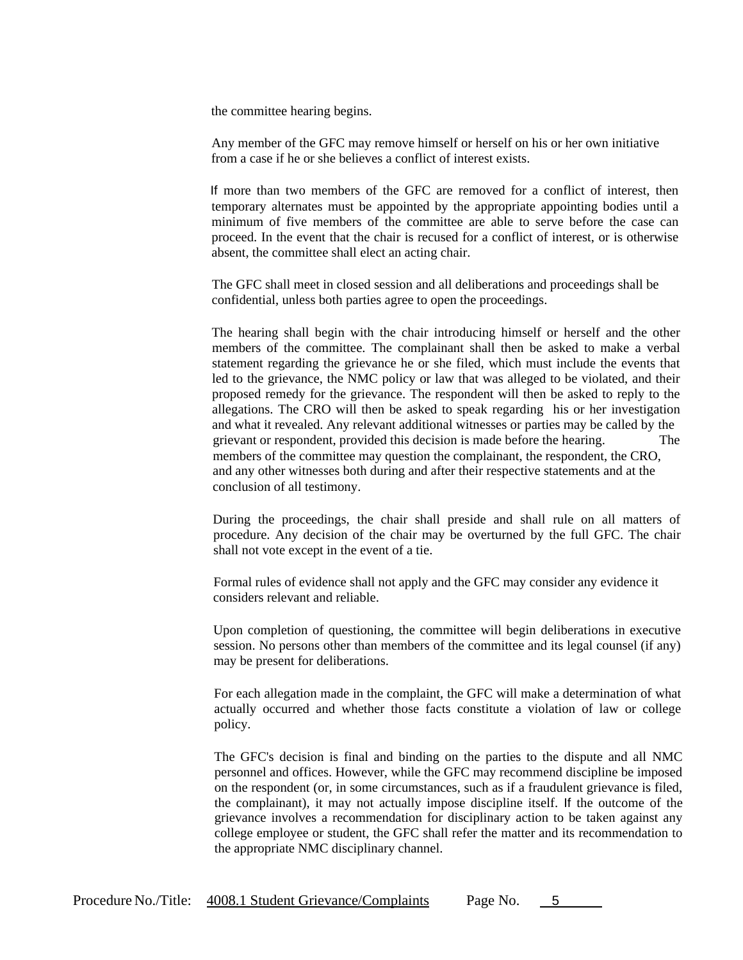the committee hearing begins.

Any member of the GFC may remove himself or herself on his or her own initiative from a case if he or she believes a conflict of interest exists.

If more than two members of the GFC are removed for a conflict of interest, then temporary alternates must be appointed by the appropriate appointing bodies until a minimum of five members of the committee are able to serve before the case can proceed. In the event that the chair is recused for a conflict of interest, or is otherwise absent, the committee shall elect an acting chair.

The GFC shall meet in closed session and all deliberations and proceedings shall be confidential, unless both parties agree to open the proceedings.

The hearing shall begin with the chair introducing himself or herself and the other members of the committee. The complainant shall then be asked to make a verbal statement regarding the grievance he or she filed, which must include the events that led to the grievance, the NMC policy or law that was alleged to be violated, and their proposed remedy for the grievance. The respondent will then be asked to reply to the allegations. The CRO will then be asked to speak regarding his or her investigation and what it revealed. Any relevant additional witnesses or parties may be called by the grievant or respondent, provided this decision is made before the hearing. The members of the committee may question the complainant, the respondent, the CRO, and any other witnesses both during and after their respective statements and at the conclusion of all testimony.

During the proceedings, the chair shall preside and shall rule on all matters of procedure. Any decision of the chair may be overturned by the full GFC. The chair shall not vote except in the event of a tie.

Formal rules of evidence shall not apply and the GFC may consider any evidence it considers relevant and reliable.

Upon completion of questioning, the committee will begin deliberations in executive session. No persons other than members of the committee and its legal counsel (if any) may be present for deliberations.

For each allegation made in the complaint, the GFC will make a determination of what actually occurred and whether those facts constitute a violation of law or college policy.

The GFC's decision is final and binding on the parties to the dispute and all NMC personnel and offices. However, while the GFC may recommend discipline be imposed on the respondent (or, in some circumstances, such as if a fraudulent grievance is filed, the complainant), it may not actually impose discipline itself. If the outcome of the grievance involves a recommendation for disciplinary action to be taken against any college employee or student, the GFC shall refer the matter and its recommendation to the appropriate NMC disciplinary channel.